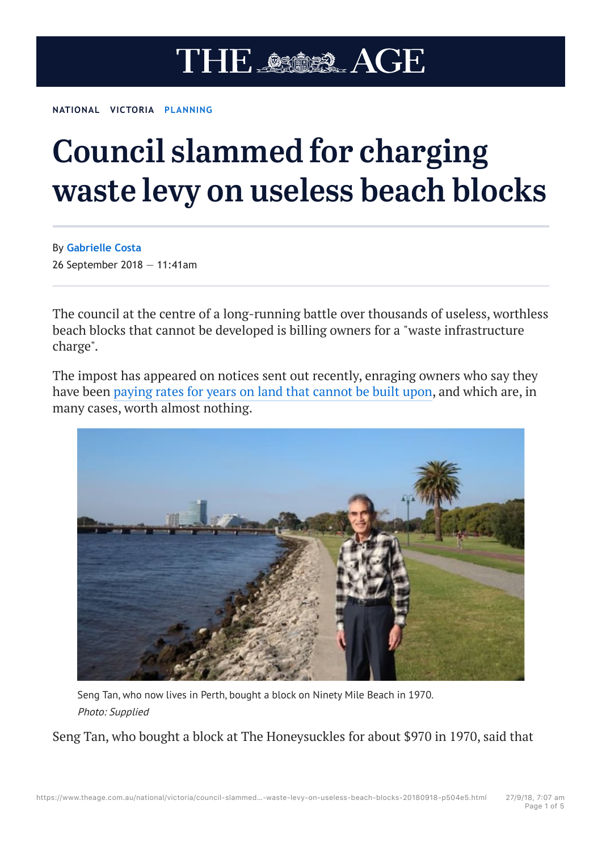## THE ASOSS AGE

**NATIONAL VICTORIA PLANNING**

## Council slammed for charging waste levy on useless beach blocks

By **Gabrielle Costa** 26 September 2018 — 11:41am

The council at the centre of a long-running battle over thousands of useless, worthless beach blocks that cannot be developed is billing owners for a "waste infrastructure charge".

The impost has appeared on notices sent out recently, enraging owners who say they have been paying rates for years on land that cannot be built upon, and which are, in many cases, worth almost nothing.



Seng Tan, who now lives in Perth, bought a block on Ninety Mile Beach in 1970. Photo: Supplied

Seng Tan, who bought a block at The Honeysuckles for about \$970 in 1970, said that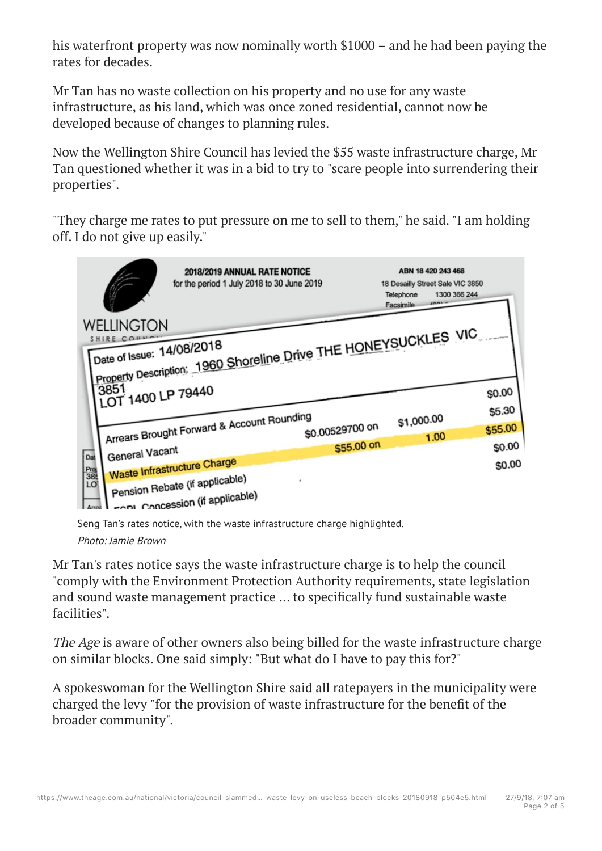his waterfront property was now nominally worth \$1000 – and he had been paying the rates for decades.

Mr Tan has no waste collection on his property and no use for any waste infrastructure, as his land, which was once zoned residential, cannot now be developed because of changes to planning rules.

Now the Wellington Shire Council has levied the \$55 waste infrastructure charge, Mr Tan questioned whether it was in a bid to try to "scare people into surrendering their properties".

"They charge me rates to put pressure on me to sell to them," he said. "I am holding off. I do not give up easily."



Seng Tan's rates notice, with the waste infrastructure charge highlighted.

Photo: Jamie Brown

Mr Tan's rates notice says the waste infrastructure charge is to help the council "comply with the Environment Protection Authority requirements, state legislation and sound waste management practice ... to specifically fund sustainable waste facilities".

The Age is aware of other owners also being billed for the waste infrastructure charge on similar blocks. One said simply: "But what do I have to pay this for?"

A spokeswoman for the Wellington Shire said all ratepayers in the municipality were charged the levy "for the provision of waste infrastructure for the benefit of the broader community".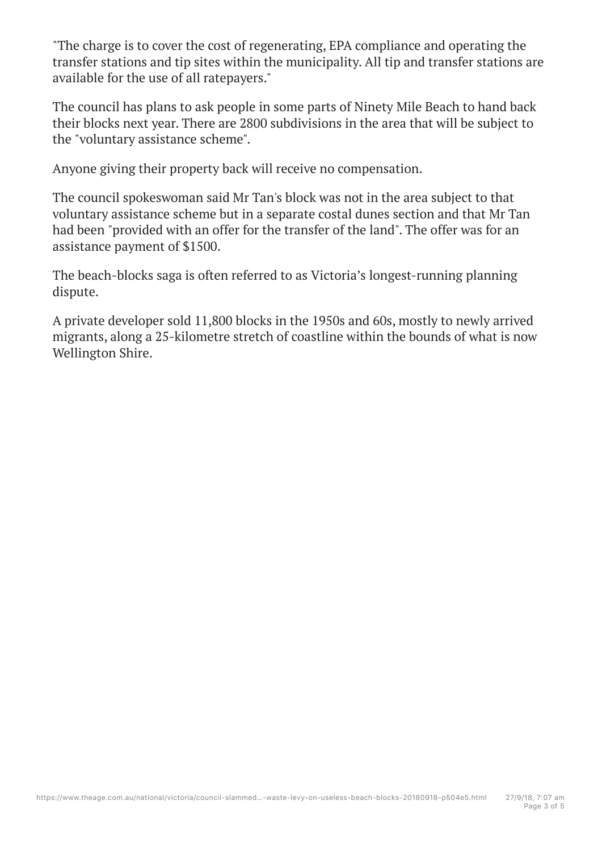"The charge is to cover the cost of regenerating, EPA compliance and operating the transfer stations and tip sites within the municipality. All tip and transfer stations are available for the use of all ratepayers."

The council has plans to ask people in some parts of Ninety Mile Beach to hand back their blocks next year. There are 2800 subdivisions in the area that will be subject to the "voluntary assistance scheme".

Anyone giving their property back will receive no compensation.

The council spokeswoman said Mr Tan's block was not in the area subject to that voluntary assistance scheme but in a separate costal dunes section and that Mr Tan had been "provided with an offer for the transfer of the land". The offer was for an assistance payment of \$1500.

The beach-blocks saga is often referred to as Victoria's longest-running planning dispute.

A private developer sold 11,800 blocks in the 1950s and 60s, mostly to newly arrived migrants, along a 25-kilometre stretch of coastline within the bounds of what is now Wellington Shire.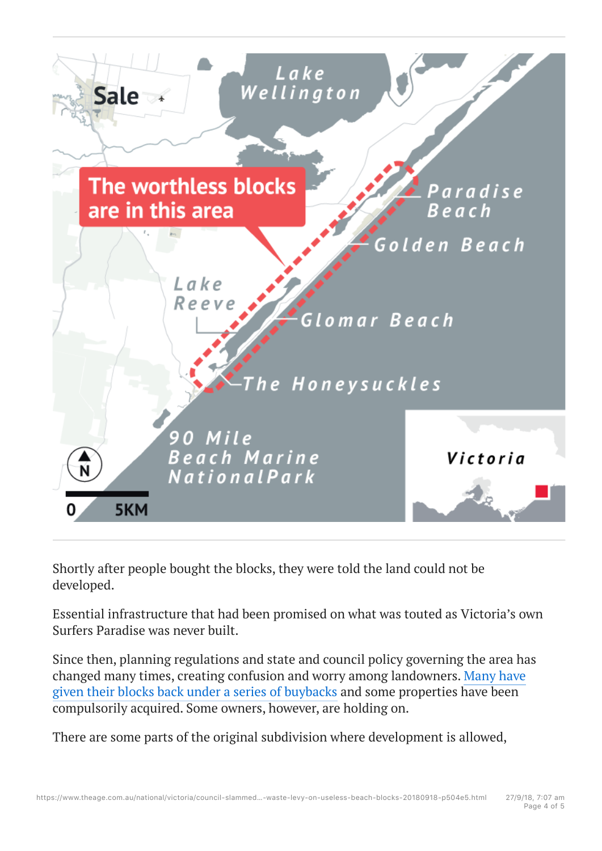

Shortly after people bought the blocks, they were told the land could not be developed.

Essential infrastructure that had been promised on what was touted as Victoria's own Surfers Paradise was never built.

Since then, planning regulations and state and council policy governing the area has changed many times, creating confusion and worry among landowners. Many have given their blocks back under a series of buybacks and some properties have been compulsorily acquired. Some owners, however, are holding on.

There are some parts of the original subdivision where development is allowed,